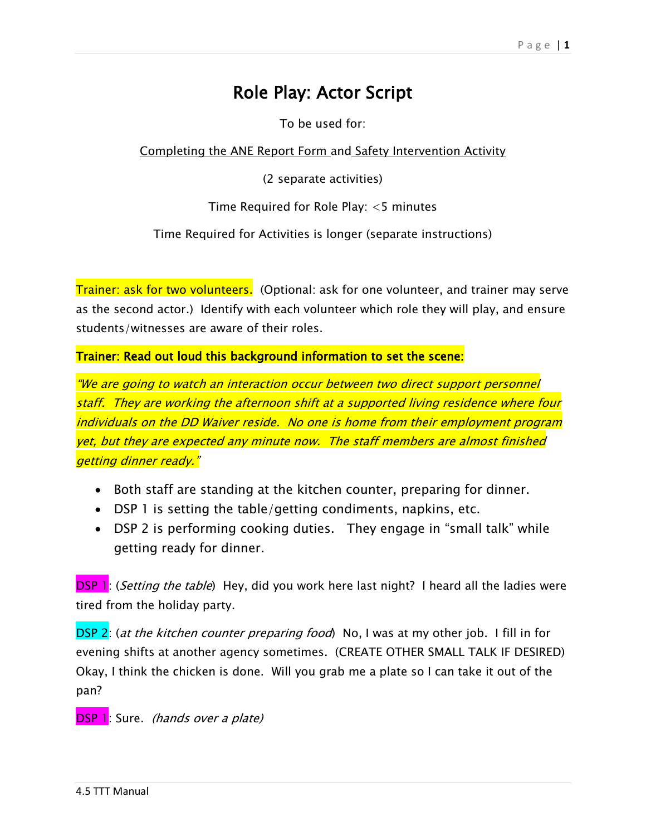## Role Play: Actor Script

To be used for:

Completing the ANE Report Form and Safety Intervention Activity

(2 separate activities)

Time Required for Role Play: <5 minutes

Time Required for Activities is longer (separate instructions)

Trainer: ask for two volunteers. (Optional: ask for one volunteer, and trainer may serve as the second actor.) Identify with each volunteer which role they will play, and ensure students/witnesses are aware of their roles.

Trainer: Read out loud this background information to set the scene:

"We are going to watch an interaction occur between two direct support personnel staff. They are working the afternoon shift at a supported living residence where four individuals on the DD Waiver reside. No one is home from their employment program yet, but they are expected any minute now. The staff members are almost finished getting dinner ready."

- Both staff are standing at the kitchen counter, preparing for dinner.
- DSP 1 is setting the table/getting condiments, napkins, etc.
- DSP 2 is performing cooking duties. They engage in "small talk" while getting ready for dinner.

**DSP 1**: (Setting the table) Hey, did you work here last night? I heard all the ladies were tired from the holiday party.

DSP 2: (at the kitchen counter preparing food) No, I was at my other job. I fill in for evening shifts at another agency sometimes. (CREATE OTHER SMALL TALK IF DESIRED) Okay, I think the chicken is done. Will you grab me a plate so I can take it out of the pan?

DSP 1: Sure. (hands over a plate)